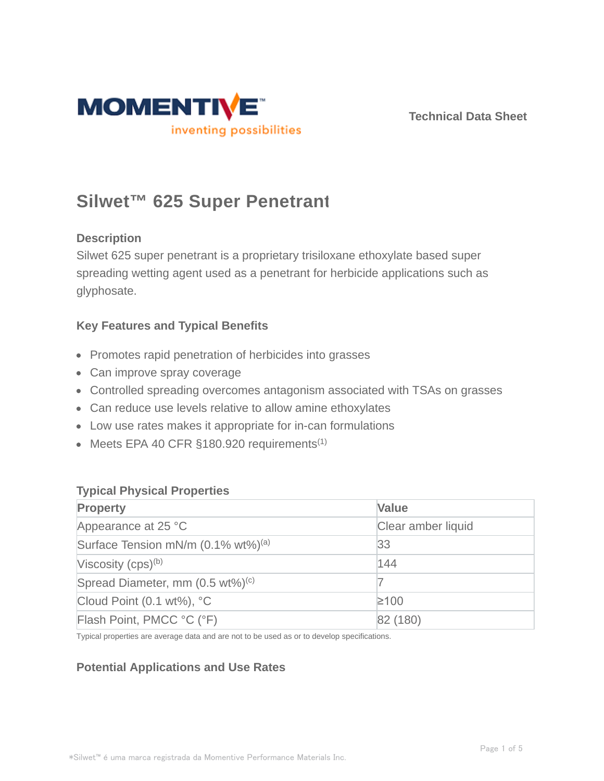

# **Silwet™ 625 Super Penetrant**

## **Description**

Silwet 625 super penetrant is a proprietary trisiloxane ethoxylate based super spreading wetting agent used as a penetrant for herbicide applications such as glyphosate.

## **Key Features and Typical Benefits**

- Promotes rapid penetration of herbicides into grasses
- Can improve spray coverage
- Controlled spreading overcomes antagonism associated with TSAs on grasses
- Can reduce use levels relative to allow amine ethoxylates
- Low use rates makes it appropriate for in-can formulations
- $\bullet$  Meets EPA 40 CFR §180.920 requirements<sup>(1)</sup>

## **Typical Physical Properties**

| <b>Property</b>                                | <b>Value</b>       |  |
|------------------------------------------------|--------------------|--|
| Appearance at 25 °C                            | Clear amber liquid |  |
| Surface Tension mN/m (0.1% wt%) <sup>(a)</sup> | 33                 |  |
| Viscosity $(cps)^{(b)}$                        | 144                |  |
| Spread Diameter, mm (0.5 wt%) <sup>(c)</sup>   |                    |  |
| Cloud Point $(0.1 wt\%)$ , °C                  | $≥100$             |  |
| Flash Point, PMCC °C (°F)                      | 82 (180)           |  |

Typical properties are average data and are not to be used as or to develop specifications.

## **Potential Applications and Use Rates**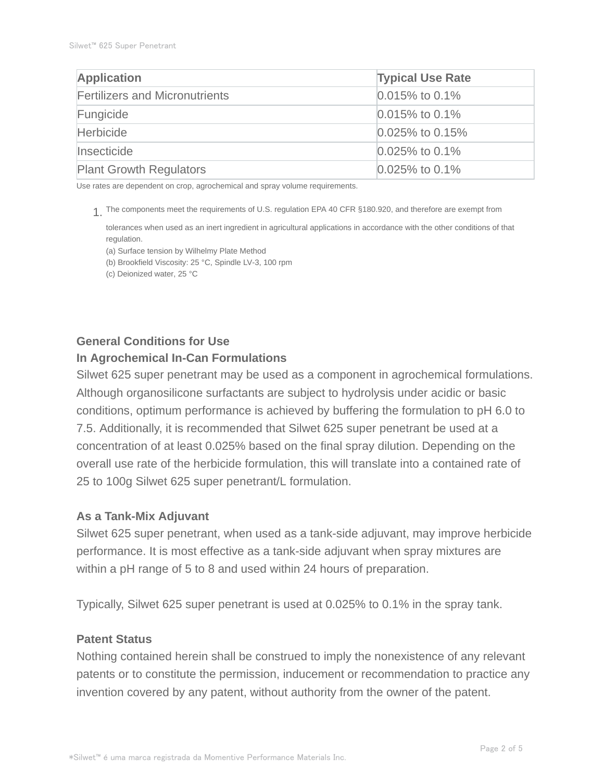| <b>Application</b>                    | <b>Typical Use Rate</b> |  |
|---------------------------------------|-------------------------|--|
| <b>Fertilizers and Micronutrients</b> | $0.015\%$ to 0.1%       |  |
| Fungicide                             | $0.015\%$ to 0.1%       |  |
| <b>Herbicide</b>                      | $0.025\%$ to 0.15%      |  |
| Insecticide                           | $0.025\%$ to 0.1%       |  |
| <b>Plant Growth Regulators</b>        | $0.025\%$ to 0.1%       |  |

Use rates are dependent on crop, agrochemical and spray volume requirements.

The components meet the requirements of U.S. regulation EPA 40 CFR §180.920, and therefore are exempt from 1.

tolerances when used as an inert ingredient in agricultural applications in accordance with the other conditions of that regulation.

(a) Surface tension by Wilhelmy Plate Method

(b) Brookfield Viscosity: 25 °C, Spindle LV-3, 100 rpm

(c) Deionized water, 25 °C

## **General Conditions for Use**

## **In Agrochemical In-Can Formulations**

Silwet 625 super penetrant may be used as a component in agrochemical formulations. Although organosilicone surfactants are subject to hydrolysis under acidic or basic conditions, optimum performance is achieved by buffering the formulation to pH 6.0 to 7.5. Additionally, it is recommended that Silwet 625 super penetrant be used at a concentration of at least 0.025% based on the final spray dilution. Depending on the overall use rate of the herbicide formulation, this will translate into a contained rate of 25 to 100g Silwet 625 super penetrant/L formulation.

## **As a Tank-Mix Adjuvant**

Silwet 625 super penetrant, when used as a tank-side adjuvant, may improve herbicide performance. It is most effective as a tank-side adjuvant when spray mixtures are within a pH range of 5 to 8 and used within 24 hours of preparation.

Typically, Silwet 625 super penetrant is used at 0.025% to 0.1% in the spray tank.

#### **Patent Status**

Nothing contained herein shall be construed to imply the nonexistence of any relevant patents or to constitute the permission, inducement or recommendation to practice any invention covered by any patent, without authority from the owner of the patent.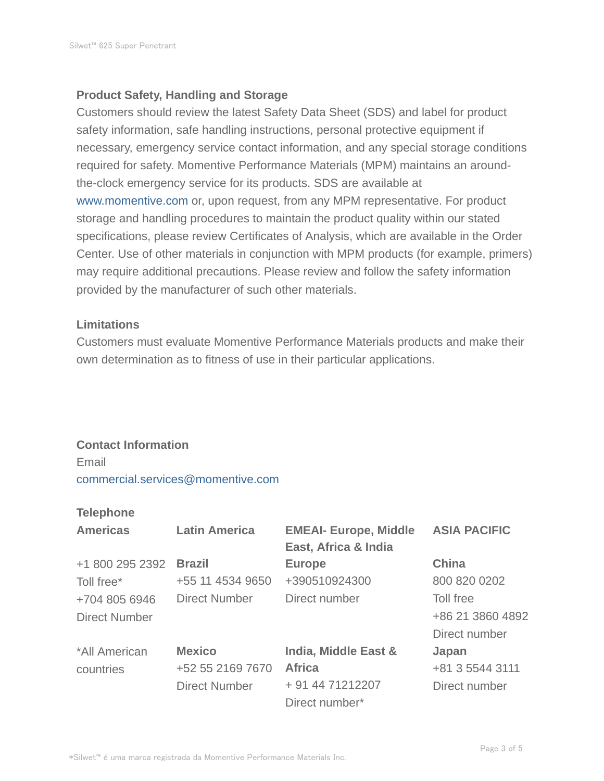## **Product Safety, Handling and Storage**

Customers should review the latest Safety Data Sheet (SDS) and label for product safety information, safe handling instructions, personal protective equipment if necessary, emergency service contact information, and any special storage conditions required for safety. Momentive Performance Materials (MPM) maintains an aroundthe-clock emergency service for its products. SDS are available at www.momentive.com or, upon request, from any MPM representative. For product storage and handling procedures to maintain the product quality within our stated specifications, please review Certificates of Analysis, which are available in the Order Center. Use of other materials in conjunction with MPM products (for example, primers) may require additional precautions. Please review and follow the safety information provided by the manufacturer of such other materials.

## **Limitations**

Customers must evaluate Momentive Performance Materials products and make their own determination as to fitness of use in their particular applications.

## **Contact Information**

Email commercial.services@momentive.com

### **Telephone**

| <b>Americas</b>      | <b>Latin America</b> | <b>EMEAI- Europe, Middle</b><br>East, Africa & India | <b>ASIA PACIFIC</b> |
|----------------------|----------------------|------------------------------------------------------|---------------------|
| +1 800 295 2392      | <b>Brazil</b>        | <b>Europe</b>                                        | <b>China</b>        |
| Toll free*           | +55 11 4534 9650     | +390510924300                                        | 800 820 0202        |
| +704 805 6946        | <b>Direct Number</b> | Direct number                                        | Toll free           |
| <b>Direct Number</b> |                      |                                                      | +86 21 3860 4892    |
|                      |                      |                                                      | Direct number       |
| *All American        | <b>Mexico</b>        | India, Middle East &                                 | Japan               |
| countries            | +52 55 2169 7670     | <b>Africa</b>                                        | +81 3 5544 3111     |
|                      | <b>Direct Number</b> | + 91 44 71212207                                     | Direct number       |
|                      |                      | Direct number*                                       |                     |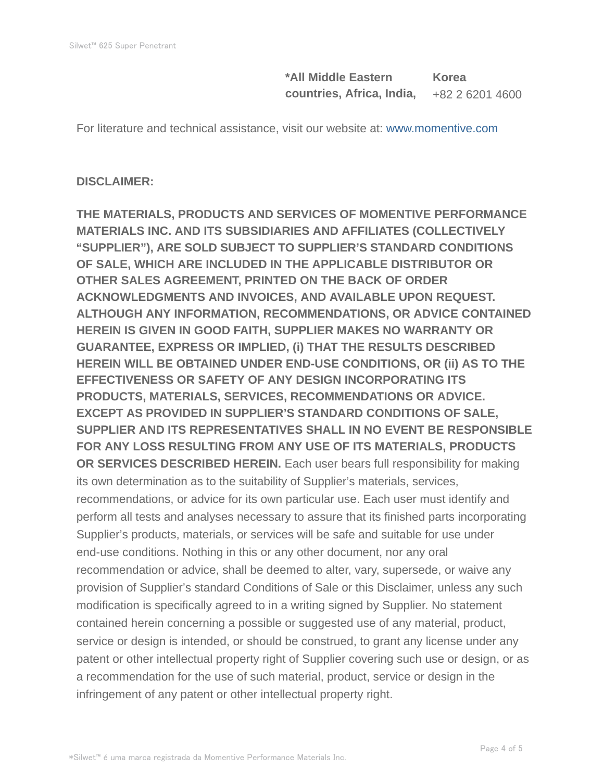**\*All Middle Eastern countries, Africa, India, Korea** +82 2 6201 4600

For literature and technical assistance, visit our website at: www.momentive.com

## **DISCLAIMER:**

**THE MATERIALS, PRODUCTS AND SERVICES OF MOMENTIVE PERFORMANCE MATERIALS INC. AND ITS SUBSIDIARIES AND AFFILIATES (COLLECTIVELY "SUPPLIER"), ARE SOLD SUBJECT TO SUPPLIER'S STANDARD CONDITIONS OF SALE, WHICH ARE INCLUDED IN THE APPLICABLE DISTRIBUTOR OR OTHER SALES AGREEMENT, PRINTED ON THE BACK OF ORDER ACKNOWLEDGMENTS AND INVOICES, AND AVAILABLE UPON REQUEST. ALTHOUGH ANY INFORMATION, RECOMMENDATIONS, OR ADVICE CONTAINED HEREIN IS GIVEN IN GOOD FAITH, SUPPLIER MAKES NO WARRANTY OR GUARANTEE, EXPRESS OR IMPLIED, (i) THAT THE RESULTS DESCRIBED HEREIN WILL BE OBTAINED UNDER END-USE CONDITIONS, OR (ii) AS TO THE EFFECTIVENESS OR SAFETY OF ANY DESIGN INCORPORATING ITS PRODUCTS, MATERIALS, SERVICES, RECOMMENDATIONS OR ADVICE. EXCEPT AS PROVIDED IN SUPPLIER'S STANDARD CONDITIONS OF SALE, SUPPLIER AND ITS REPRESENTATIVES SHALL IN NO EVENT BE RESPONSIBLE FOR ANY LOSS RESULTING FROM ANY USE OF ITS MATERIALS, PRODUCTS OR SERVICES DESCRIBED HEREIN.** Each user bears full responsibility for making its own determination as to the suitability of Supplier's materials, services, recommendations, or advice for its own particular use. Each user must identify and perform all tests and analyses necessary to assure that its finished parts incorporating Supplier's products, materials, or services will be safe and suitable for use under end-use conditions. Nothing in this or any other document, nor any oral recommendation or advice, shall be deemed to alter, vary, supersede, or waive any provision of Supplier's standard Conditions of Sale or this Disclaimer, unless any such modification is specifically agreed to in a writing signed by Supplier. No statement contained herein concerning a possible or suggested use of any material, product, service or design is intended, or should be construed, to grant any license under any patent or other intellectual property right of Supplier covering such use or design, or as a recommendation for the use of such material, product, service or design in the infringement of any patent or other intellectual property right.